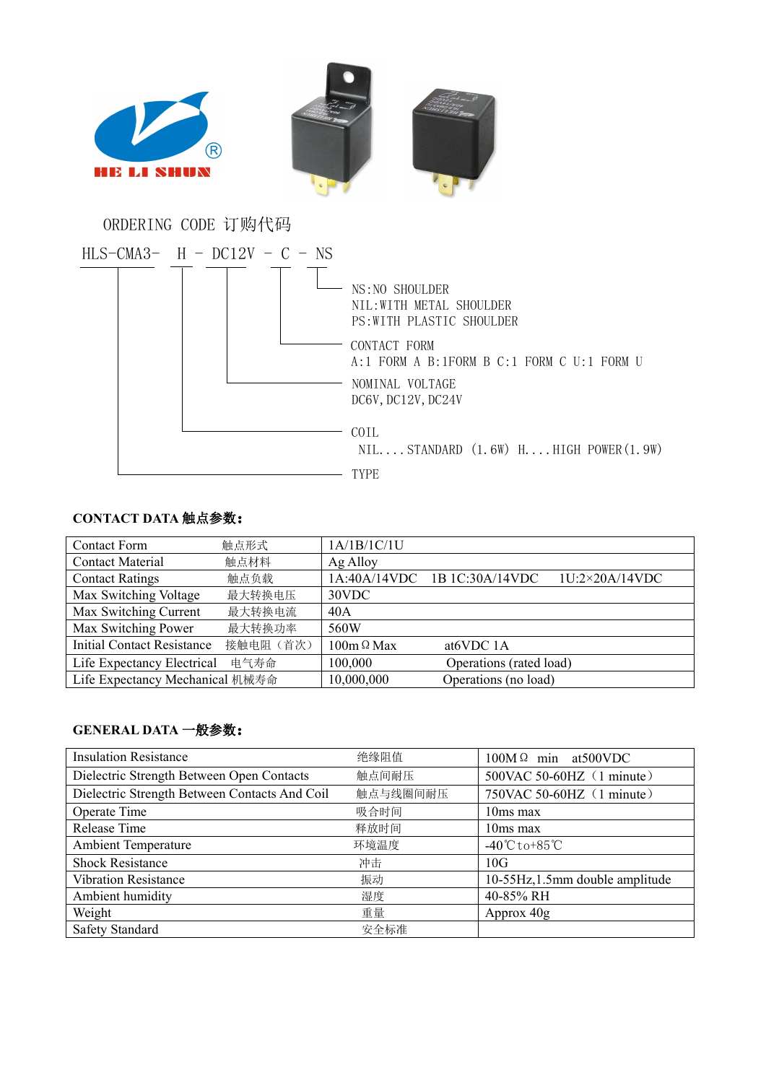

COIL NIL....STANDARD (1.6W) H....HIGH POWER(1.9W)

## **CONTACT DATA** 触点参数:

| <b>Contact Form</b>               | 触点形式      | 1A/1B/1C/1U       |                              |                       |
|-----------------------------------|-----------|-------------------|------------------------------|-----------------------|
| <b>Contact Material</b>           | 触点材料      | Ag Alloy          |                              |                       |
| <b>Contact Ratings</b>            | 触点负载      |                   | 1A:40A/14VDC 1B 1C:30A/14VDC | $1U:2\times20A/14VDC$ |
| Max Switching Voltage             | 最大转换电压    | 30VDC             |                              |                       |
| Max Switching Current             | 最大转换电流    | 40A               |                              |                       |
| Max Switching Power               | 最大转换功率    | 560W              |                              |                       |
| <b>Initial Contact Resistance</b> | 接触电阻 (首次) | $100m \Omega$ Max | at <sub>6</sub> VDC 1A       |                       |
| Life Expectancy Electrical        | 电气寿命      | 100,000           | Operations (rated load)      |                       |
| Life Expectancy Mechanical 机械寿命   |           | 10,000,000        | Operations (no load)         |                       |

TYPE

## **GENERAL DATA** 一般参数:

| <b>Insulation Resistance</b>                  | 绝缘阻值     | $100M\Omega$ min at 500 VDC       |  |
|-----------------------------------------------|----------|-----------------------------------|--|
| Dielectric Strength Between Open Contacts     | 触点间耐压    | 500VAC 50-60HZ (1 minute)         |  |
| Dielectric Strength Between Contacts And Coil | 触点与线圈间耐压 | 750VAC 50-60HZ (1 minute)         |  |
| Operate Time                                  | 吸合时间     | $10ms$ max                        |  |
| Release Time                                  | 释放时间     | 10ms max                          |  |
| <b>Ambient Temperature</b>                    | 环境温度     | $-40^{\circ}$ Cto+85 $^{\circ}$ C |  |
| <b>Shock Resistance</b>                       | 冲击       | 10G                               |  |
| <b>Vibration Resistance</b>                   | 振动       | 10-55Hz, 1.5mm double amplitude   |  |
| Ambient humidity                              | 湿度       | 40-85% RH                         |  |
| Weight                                        | 重量       | Approx 40g                        |  |
| <b>Safety Standard</b>                        | 安全标准     |                                   |  |